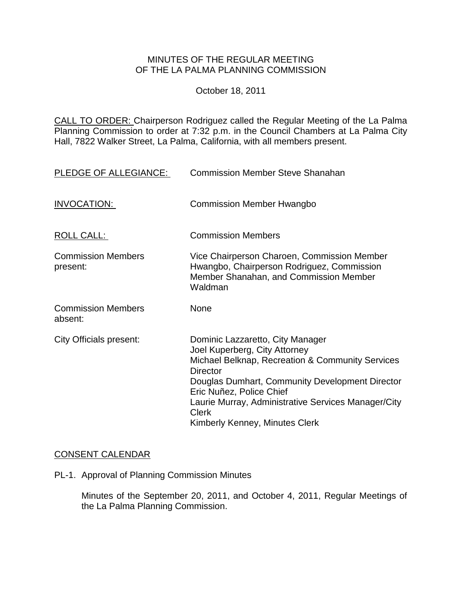### MINUTES OF THE REGULAR MEETING OF THE LA PALMA PLANNING COMMISSION

October 18, 2011

CALL TO ORDER: Chairperson [Rodriguez called the Regular Meeting of the La Palma](http://lapalma.granicus.com/MediaPlayerFrameHandler.php?view_id=&clip_id=619&meta_id=78980)  Planning Commission to order at 7:32 [p.m. in the Council Chambers at La Palma City](http://lapalma.granicus.com/MediaPlayerFrameHandler.php?view_id=&clip_id=619&meta_id=78980)  [Hall, 7822 Walker Street, La Palma, California, with all members present.](http://lapalma.granicus.com/MediaPlayerFrameHandler.php?view_id=&clip_id=619&meta_id=78980) 

| PLEDGE OF ALLEGIANCE:                 | <b>Commission Member Steve Shanahan</b>                                                                                                                                                                                                                                                                                          |
|---------------------------------------|----------------------------------------------------------------------------------------------------------------------------------------------------------------------------------------------------------------------------------------------------------------------------------------------------------------------------------|
| INVOCATION:                           | <b>Commission Member Hwangbo</b>                                                                                                                                                                                                                                                                                                 |
| ROLL CALL:                            | <b>Commission Members</b>                                                                                                                                                                                                                                                                                                        |
| <b>Commission Members</b><br>present: | Vice Chairperson Charoen, Commission Member<br>Hwangbo, Chairperson Rodriguez, Commission<br>Member Shanahan, and Commission Member<br>Waldman                                                                                                                                                                                   |
| <b>Commission Members</b><br>absent:  | <b>None</b>                                                                                                                                                                                                                                                                                                                      |
| City Officials present:               | Dominic Lazzaretto, City Manager<br>Joel Kuperberg, City Attorney<br>Michael Belknap, Recreation & Community Services<br><b>Director</b><br>Douglas Dumhart, Community Development Director<br>Eric Nuñez, Police Chief<br>Laurie Murray, Administrative Services Manager/City<br><b>Clerk</b><br>Kimberly Kenney, Minutes Clerk |

## CONSENT CALENDAR

PL-1. [Approval of Planning Commission Minutes](http://lapalma.granicus.com/MediaPlayerFrameHandler.php?view_id=&clip_id=619&meta_id=78992)

Minutes of the September 20, 2011, and October 4, 2011, Regular Meetings of the La Palma Planning Commission.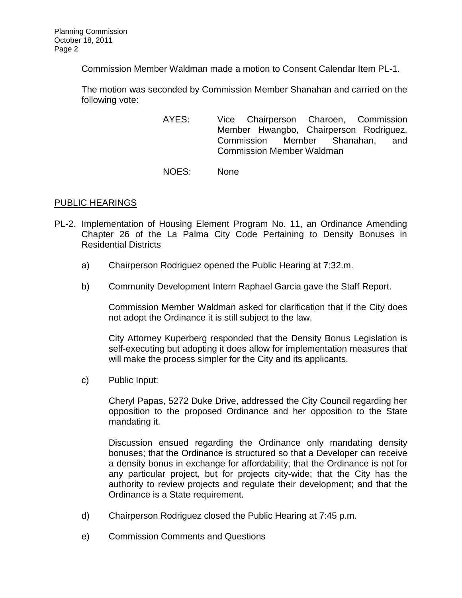Commission Member Waldman made a motion to Consent Calendar Item PL-1.

The motion was seconded by Commission Member Shanahan and carried on the following vote:

- AYES: Vice Chairperson Charoen, Commission Member Hwangbo, Chairperson Rodriguez, Commission Member Shanahan, and Commission Member Waldman
- NOES: None

# [PUBLIC HEARINGS](http://lapalma.granicus.com/MediaPlayerFrameHandler.php?view_id=&clip_id=619&meta_id=78994)

- PL-2. [Implementation of Housing Element Program No. 11, an Ordinance Amending](http://lapalma.granicus.com/MediaPlayerFrameHandler.php?view_id=&clip_id=619&meta_id=78995)  [Chapter 26 of the La Palma City Code Pertaining to Density Bonuses in](http://lapalma.granicus.com/MediaPlayerFrameHandler.php?view_id=&clip_id=619&meta_id=78995)  [Residential Districts](http://lapalma.granicus.com/MediaPlayerFrameHandler.php?view_id=&clip_id=619&meta_id=78995) 
	- a) [Chairperson Rodriguez opened the Public Hearing at 7:32.m.](http://lapalma.granicus.com/MediaPlayerFrameHandler.php?view_id=&clip_id=619&meta_id=78996)
	- b) [Community Development Intern Raphael Garcia gave the Staff Report.](http://lapalma.granicus.com/MediaPlayerFrameHandler.php?view_id=&clip_id=619&meta_id=78997)

Commission Member Waldman asked for clarification that if the City does not adopt the Ordinance it is still subject to the law.

City Attorney Kuperberg responded that the Density Bonus Legislation is self-executing but adopting it does allow for implementation measures that will make the process simpler for the City and its applicants.

c) [Public Input:](http://lapalma.granicus.com/MediaPlayerFrameHandler.php?view_id=&clip_id=619&meta_id=78998) 

Cheryl Papas, 5272 Duke Drive, addressed the City Council regarding her opposition to the proposed Ordinance and her opposition to the State mandating it.

Discussion ensued regarding the Ordinance only mandating density bonuses; that the Ordinance is structured so that a Developer can receive a density bonus in exchange for affordability; that the Ordinance is not for any particular project, but for projects city-wide; that the City has the authority to review projects and regulate their development; and that the Ordinance is a State requirement.

- d) [Chairperson Rodriguez closed the Public Hearing at 7:45 p.m.](http://lapalma.granicus.com/MediaPlayerFrameHandler.php?view_id=&clip_id=619&meta_id=78999)
- e) [Commission Comments and Questions](http://lapalma.granicus.com/MediaPlayerFrameHandler.php?view_id=&clip_id=619&meta_id=79000)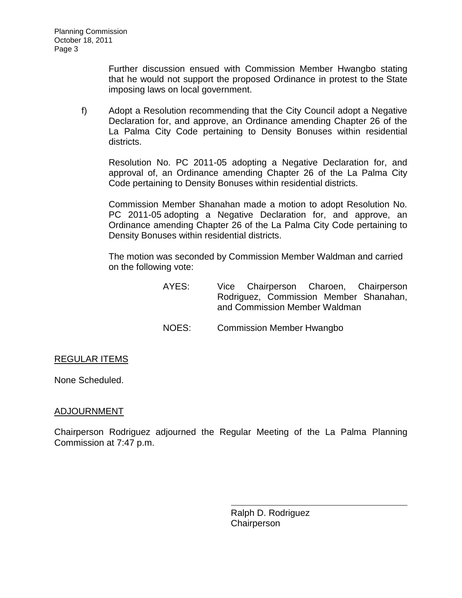Further discussion ensued with Commission Member Hwangbo stating that he would not support the proposed Ordinance in protest to the State imposing laws on local government.

f) Adopt a Resolution recommending that the City Council adopt a Negative Declaration for, and approve, an Ordinance amending Chapter 26 of the La Palma City Code pertaining to Density Bonuses within residential districts.

Resolution No. PC 2011-05 adopting a Negative Declaration for, and approval of, an Ordinance amending Chapter 26 of the La Palma City Code pertaining to Density Bonuses within residential districts.

Commission Member Shanahan made a motion to adopt Resolution No. PC 2011-05 adopting a Negative Declaration for, and approve, an Ordinance amending Chapter 26 of the La Palma City Code pertaining to Density Bonuses within residential districts.

The motion was seconded by Commission Member Waldman and carried on the following vote:

- AYES: Vice Chairperson Charoen, Chairperson Rodriguez, Commission Member Shanahan, and Commission Member Waldman
- NOES: Commission Member Hwangbo

## REGULAR ITEMS

None Scheduled.

#### [ADJOURNMENT](http://lapalma.granicus.com/MediaPlayerFrameHandler.php?view_id=&clip_id=619&meta_id=79073)

Chairperson Rodriguez adjourned the Regular Meeting of the La Palma Planning Commission at 7:47 p.m.

> Ralph D. Rodriguez **Chairperson**